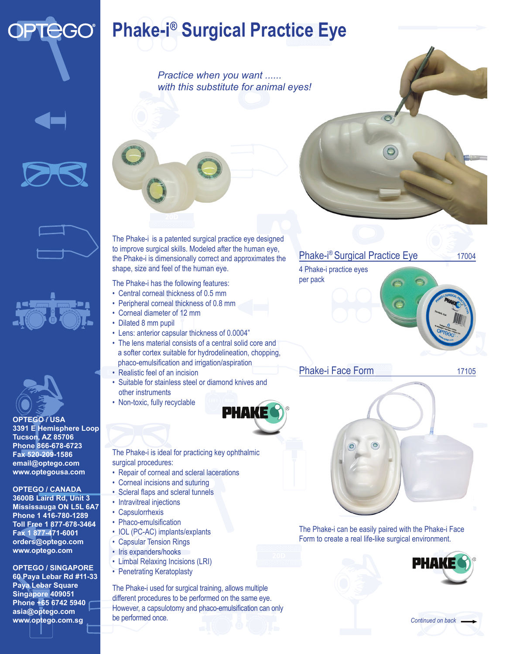## **PTEGO®**

## **Phake-i® Surgical Practice Eye**

*Practice when you want ...... with this substitute for animal eyes!*









**OPTEGO / USA 3391 E Hemisphere Loop Tucson, AZ 85706 Phone 866-678-6723 Fax 520-209-1586 email@optego.com www.optegousa.com**

## **OPTEGO / CANADA**

**3600B Laird Rd, Unit 3 Mississauga ON L5L 6A7 Phone 1 416-780-1289 Toll Free 1 877-678-3464 Fax 1 877-471-6001 orders@optego.com www.optego.com**

**OPTEGO / SINGAPORE** 

**60 Paya Lebar Rd #11-33 Paya Lebar Square Singapore 409051 Phone +65 6742 5940 asia@optego.com www.optego.com.sg**

The Phake-i is a patented surgical practice eye designed to improve surgical skills. Modeled after the human eye, the Phake-i is dimensionally correct and approximates the shape, size and feel of the human eye.

The Phake-i has the following features:

- Central corneal thickness of 0.5 mm
- Peripheral corneal thickness of 0.8 mm
- Corneal diameter of 12 mm
- Dilated 8 mm pupil
- Lens: anterior capsular thickness of 0.0004"
- The lens material consists of a central solid core and a softer cortex suitable for hydrodelineation, chopping, phaco-emulsification and irrigation/aspiration
- Realistic feel of an incision
- Suitable for stainless steel or diamond knives and other instruments
- Non-toxic, fully recyclable



The Phake-i is ideal for practicing key ophthalmic surgical procedures:

- Repair of corneal and scleral lacerations
- Corneal incisions and suturing
- Scleral flaps and scleral tunnels
- Intravitreal injections
- Capsulorrhexis
- Phaco-emulsification
- IOL (PC-AC) implants/explants
- Capsular Tension Rings
- Iris expanders/hooks
- Limbal Relaxing Incisions (LRI)
- Penetrating Keratoplasty

The Phake-i used for surgical training, allows multiple different procedures to be performed on the same eye. However, a capsulotomy and phaco-emulsification can only be performed once.

## Phake-i® Surgical Practice Eye 17004

4 Phake-i practice eyes per pack

Phake-i Face Form 17105



The Phake-i can be easily paired with the Phake-i Face Form to create a real life-like surgical environment.